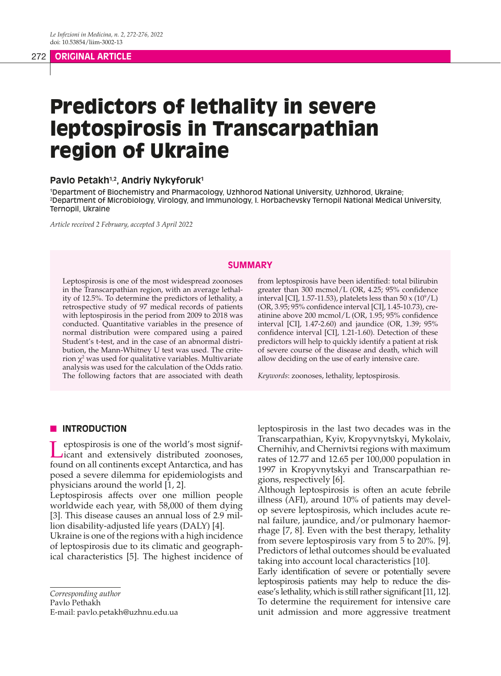# Predictors of lethality in severe leptospirosis in Transcarpathian region of Ukraine

### **Pavlo Petakh1,2, Andriy Nykyforuk1**

1 Department of Biochemistry and Pharmacology, Uzhhorod National University, Uzhhorod, Ukraine; 2 Department of Microbiology, Virology, and Immunology, I. Horbachevsky Ternopil National Medical University, Ternopil, Ukraine

*Article received 2 February, accepted 3 April 2022*

#### **SUMMARY**

Leptospirosis is one of the most widespread zoonoses in the Transcarpathian region, with an average lethality of 12.5%. To determine the predictors of lethality, a retrospective study of 97 medical records of patients with leptospirosis in the period from 2009 to 2018 was conducted. Quantitative variables in the presence of normal distribution were compared using a paired Student's t-test, and in the case of an abnormal distribution, the Mann-Whitney U test was used. The criterion  $\chi^2$  was used for qualitative variables. Multivariate analysis was used for the calculation of the Odds ratio. The following factors that are associated with death

from leptospirosis have been identified: total bilirubin greater than 300 mcmol/L (OR, 4.25; 95% confidence interval [CI], 1.57-11.53), platelets less than  $50 \times (10^9/L)$ (OR, 3.95; 95% confidence interval [CI], 1.45-10.73), creatinine above 200 mcmol/L (OR, 1.95; 95% confidence interval [CI], 1.47-2.60) and jaundice (OR, 1.39; 95% confidence interval [CI], 1.21-1.60). Detection of these predictors will help to quickly identify a patient at risk of severe course of the disease and death, which will allow deciding on the use of early intensive care.

*Keywords*: zoonoses, lethality, leptospirosis.

### **N** INTRODUCTION

Leptospirosis is one of the world's most signif-icant and extensively distributed zoonoses, found on all continents except Antarctica, and has posed a severe dilemma for epidemiologists and physicians around the world [1, 2].

Leptospirosis affects over one million people worldwide each year, with 58,000 of them dying [3]. This disease causes an annual loss of 2.9 million disability-adjusted life years (DALY) [4].

Ukraine is one of the regions with a high incidence of leptospirosis due to its climatic and geographical characteristics [5]. The highest incidence of

Pavlo Pethakh

E-mail: pavlo.petakh@uzhnu.edu.ua

leptospirosis in the last two decades was in the Transcarpathian, Kyiv, Kropyvnytskyi, Mykolaiv, Chernihiv, and Chernivtsi regions with maximum rates of 12.77 and 12.65 per 100,000 population in 1997 in Kropyvnytskyi and Transcarpathian regions, respectively [6].

Although leptospirosis is often an acute febrile illness (AFI), around 10% of patients may develop severe leptospirosis, which includes acute renal failure, jaundice, and/or pulmonary haemorrhage [7, 8]. Even with the best therapy, lethality from severe leptospirosis vary from 5 to 20%. [9]. Predictors of lethal outcomes should be evaluated taking into account local characteristics [10].

Early identification of severe or potentially severe leptospirosis patients may help to reduce the disease's lethality, which is still rather significant [11, 12]. To determine the requirement for intensive care unit admission and more aggressive treatment

*Corresponding author*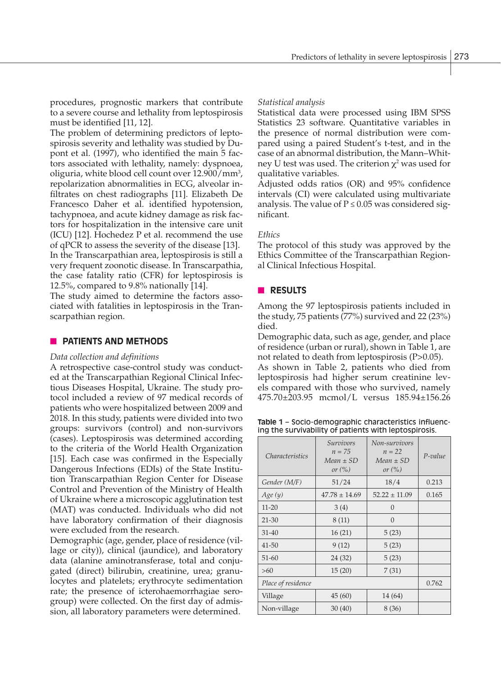procedures, prognostic markers that contribute to a severe course and lethality from leptospirosis must be identified [11, 12].

The problem of determining predictors of leptospirosis severity and lethality was studied by Dupont et al. (1997), who identified the main 5 factors associated with lethality, namely: dyspnoea, oliguria, white blood cell count over 12.900/mm<sup>3</sup>, repolarization abnormalities in ECG, alveolar infiltrates on chest radiographs [11]. Elizabeth De Francesco Daher et al. identified hypotension, tachypnoea, and acute kidney damage as risk factors for hospitalization in the intensive care unit (ICU) [12]. Hochedez P et al. recommend the use of qPCR to assess the severity of the disease [13]. In the Transcarpathian area, leptospirosis is still a very frequent zoonotic disease. In Transcarpathia, the case fatality ratio (CFR) for leptospirosis is

12.5%, compared to 9.8% nationally [14].

The study aimed to determine the factors associated with fatalities in leptospirosis in the Transcarpathian region.

# **NO PATIENTS AND METHODS**

#### *Data collection and definitions*

A retrospective case-control study was conducted at the Transcarpathian Regional Clinical Infectious Diseases Hospital, Ukraine. The study protocol included a review of 97 medical records of patients who were hospitalized between 2009 and 2018. In this study, patients were divided into two groups: survivors (control) and non-survivors (cases). Leptospirosis was determined according to the criteria of the World Health Organization [15]. Each case was confirmed in the Especially Dangerous Infections (EDIs) of the State Institution Transcarpathian Region Center for Disease Control and Prevention of the Ministry of Health of Ukraine where a microscopic agglutination test (MAT) was conducted. Individuals who did not have laboratory confirmation of their diagnosis were excluded from the research.

Demographic (age, gender, place of residence (village or city)), clinical (jaundice), and laboratory data (alanine aminotransferase, total and conjugated (direct) bilirubin, creatinine, urea; granulocytes and platelets; erythrocyte sedimentation rate; the presence of icterohaemorrhagiae serogroup) were collected. On the first day of admission, all laboratory parameters were determined.

#### *Statistical analysis*

Statistical data were processed using IBM SPSS Statistics 23 software. Quantitative variables in the presence of normal distribution were compared using a paired Student's t-test, and in the case of an abnormal distribution, the Mann–Whitney U test was used. The criterion  $\chi^2$  was used for qualitative variables.

Adjusted odds ratios (OR) and 95% confidence intervals (CI) were calculated using multivariate analysis. The value of  $P \le 0.05$  was considered significant.

#### *Ethics*

The protocol of this study was approved by the Ethics Committee of the Transcarpathian Regional Clinical Infectious Hospital.

# **n RESULTS**

Among the 97 leptospirosis patients included in the study, 75 patients (77%) survived and 22 (23%) died.

Demographic data, such as age, gender, and place of residence (urban or rural), shown in Table 1, are not related to death from leptospirosis (P>0.05).

As shown in Table 2, patients who died from leptospirosis had higher serum creatinine levels compared with those who survived, namely 475.70±203.95 mcmol/L versus 185.94±156.26

**Table 1** – Socio-demographic characteristics influencing the survivability of patients with leptospirosis.

| <i>Characteristics</i> | Survivors<br>$n = 75$<br>$Mean \pm SD$<br>or $(\% )$ | Non-survivors<br>$n = 22$<br>$Mean \pm SD$<br>or $(\% )$ | $P-value$ |
|------------------------|------------------------------------------------------|----------------------------------------------------------|-----------|
| Gender (M/F)           | 51/24                                                | 18/4                                                     | 0.213     |
| Age(y)                 | $47.78 \pm 14.69$                                    | $52.22 \pm 11.09$                                        | 0.165     |
| $11 - 20$              | 3(4)                                                 | 0                                                        |           |
| $21 - 30$              | 8(11)                                                | $\Omega$                                                 |           |
| $31 - 40$              | 16(21)                                               | 5(23)                                                    |           |
| $41 - 50$              | 9(12)                                                | 5(23)                                                    |           |
| $51 - 60$              | 24 (32)                                              | 5(23)                                                    |           |
| $>60$                  | 15(20)                                               | 7(31)                                                    |           |
| Place of residence     | 0.762                                                |                                                          |           |
| Village                | 45(60)                                               | 14 (64)                                                  |           |
| Non-village            | 30(40)                                               | 8 (36)                                                   |           |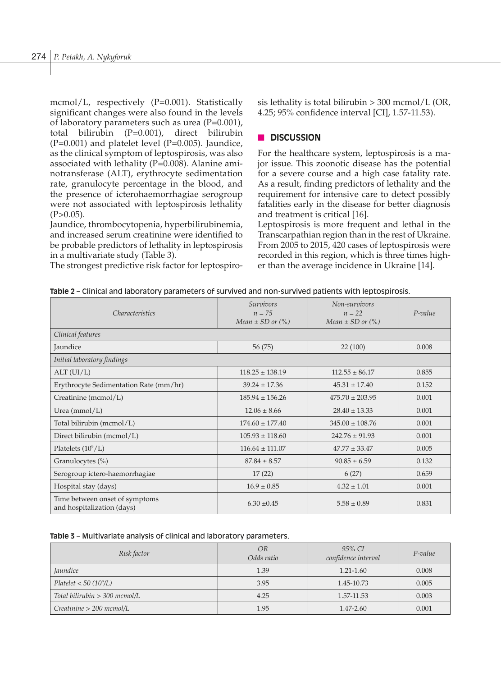mcmol/L, respectively (P=0.001). Statistically significant changes were also found in the levels of laboratory parameters such as urea  $(P=0.001)$ , total bilirubin (P=0.001), direct bilirubin  $(P=0.001)$  and platelet level  $(P=0.005)$ . Jaundice, as the clinical symptom of leptospirosis, was also associated with lethality  $(P=0.008)$ . Alanine aminotransferase (ALT), erythrocyte sedimentation rate, granulocyte percentage in the blood, and the presence of icterohaemorrhagiae serogroup were not associated with leptospirosis lethality  $(P>0.05)$ .

Jaundice, thrombocytopenia, hyperbilirubinemia, and increased serum creatinine were identified to be probable predictors of lethality in leptospirosis in a multivariate study (Table 3).

The strongest predictive risk factor for leptospiro-

sis lethality is total bilirubin  $> 300$  mcmol/L (OR, 4.25; 95% confidence interval [CI], 1.57-11.53).

# n **DISCUSSION**

For the healthcare system, leptospirosis is a major issue. This zoonotic disease has the potential for a severe course and a high case fatality rate. As a result, finding predictors of lethality and the requirement for intensive care to detect possibly fatalities early in the disease for better diagnosis and treatment is critical [16].

Leptospirosis is more frequent and lethal in the Transcarpathian region than in the rest of Ukraine. From 2005 to 2015, 420 cases of leptospirosis were recorded in this region, which is three times higher than the average incidence in Ukraine [14].

| Table 2 – Clinical and laboratory parameters of survived and non-survived patients with leptospirosis. |  |  |  |  |
|--------------------------------------------------------------------------------------------------------|--|--|--|--|
|--------------------------------------------------------------------------------------------------------|--|--|--|--|

| Characteristics                                              | <i>Survivors</i><br>$n = 75$<br>Mean $\pm$ SD or $(\% )$ | Non-survivors<br>$n = 22$<br>Mean $\pm$ SD or $(\% )$ | $P-value$ |  |
|--------------------------------------------------------------|----------------------------------------------------------|-------------------------------------------------------|-----------|--|
| Clinical features                                            |                                                          |                                                       |           |  |
| Jaundice                                                     | 56 (75)                                                  | 22(100)                                               | 0.008     |  |
| Initial laboratory findings                                  |                                                          |                                                       |           |  |
| ALT (UI/L)                                                   | $118.25 \pm 138.19$                                      | $112.55 \pm 86.17$                                    | 0.855     |  |
| Erythrocyte Sedimentation Rate (mm/hr)                       | $39.24 \pm 17.36$                                        | $45.31 \pm 17.40$                                     | 0.152     |  |
| Creatinine (mcmol/L)                                         | $185.94 \pm 156.26$                                      | $475.70 \pm 203.95$                                   | 0.001     |  |
| Urea ( $mmol/L$ )                                            | $12.06 \pm 8.66$                                         | $28.40 \pm 13.33$                                     | 0.001     |  |
| Total bilirubin (mcmol/L)                                    | $174.60 \pm 177.40$                                      | $345.00 \pm 108.76$                                   | 0.001     |  |
| Direct bilirubin (mcmol/L)                                   | $105.93 \pm 118.60$                                      | $242.76 \pm 91.93$                                    | 0.001     |  |
| Platelets $(10^9/L)$                                         | $116.64 \pm 111.07$                                      | $47.77 \pm 33.47$                                     | 0.005     |  |
| Granulocytes (%)                                             | $87.84 \pm 8.57$                                         | $90.85 \pm 6.59$                                      | 0.132     |  |
| Serogroup ictero-haemorrhagiae                               | 17(22)                                                   | 6(27)                                                 | 0.659     |  |
| Hospital stay (days)                                         | $16.9 \pm 0.85$                                          | $4.32 \pm 1.01$                                       | 0.001     |  |
| Time between onset of symptoms<br>and hospitalization (days) | $6.30 \pm 0.45$                                          | $5.58 \pm 0.89$                                       | 0.831     |  |

|  |  |  |  |  | Table 3 – Multivariate analysis of clinical and laboratory parameters. |
|--|--|--|--|--|------------------------------------------------------------------------|
|--|--|--|--|--|------------------------------------------------------------------------|

| Risk factor                        | OR<br>Odds ratio | 95% CI<br>confidence interval | $P$ -value |
|------------------------------------|------------------|-------------------------------|------------|
| <i><u><b>Iaundice</b></u></i>      | 1.39             | $1.21 - 1.60$                 | 0.008      |
| Platelet < 50 (10 <sup>9</sup> /L) | 3.95             | 1.45-10.73                    | 0.005      |
| Total bilirubin $>$ 300 mcmol/L    | 4.25             | 1.57-11.53                    | 0.003      |
| Creatinine > 200~mcmol/L           | 1.95             | 1.47-2.60                     | 0.001      |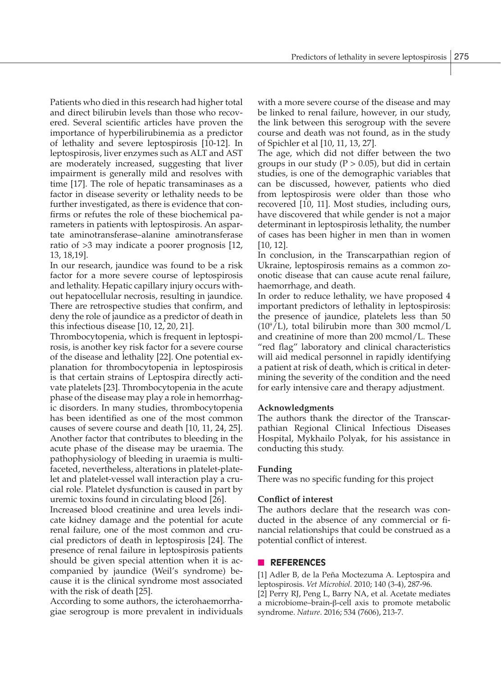Patients who died in this research had higher total and direct bilirubin levels than those who recovered. Several scientific articles have proven the importance of hyperbilirubinemia as a predictor of lethality and severe leptospirosis [10-12]. In leptospirosis, liver enzymes such as ALT and AST are moderately increased, suggesting that liver impairment is generally mild and resolves with time [17]. The role of hepatic transaminases as a factor in disease severity or lethality needs to be further investigated, as there is evidence that confirms or refutes the role of these biochemical parameters in patients with leptospirosis. An aspartate aminotransferase–alanine aminotransferase ratio of >3 may indicate a poorer prognosis [12, 13, 18,19].

In our research, jaundice was found to be a risk factor for a more severe course of leptospirosis and lethality. Hepatic capillary injury occurs without hepatocellular necrosis, resulting in jaundice. There are retrospective studies that confirm, and deny the role of jaundice as a predictor of death in this infectious disease [10, 12, 20, 21].

Thrombocytopenia, which is frequent in leptospirosis, is another key risk factor for a severe course of the disease and lethality [22]. One potential explanation for thrombocytopenia in leptospirosis is that certain strains of Leptospira directly activate platelets [23]. Thrombocytopenia in the acute phase of the disease may play a role in hemorrhagic disorders. In many studies, thrombocytopenia has been identified as one of the most common causes of severe course and death [10, 11, 24, 25]. Another factor that contributes to bleeding in the acute phase of the disease may be uraemia. The pathophysiology of bleeding in uraemia is multifaceted, nevertheless, alterations in platelet-platelet and platelet-vessel wall interaction play a crucial role. Platelet dysfunction is caused in part by uremic toxins found in circulating blood [26].

Increased blood creatinine and urea levels indicate kidney damage and the potential for acute renal failure, one of the most common and crucial predictors of death in leptospirosis [24]. The presence of renal failure in leptospirosis patients should be given special attention when it is accompanied by jaundice (Weil's syndrome) because it is the clinical syndrome most associated with the risk of death [25].

According to some authors, the icterohaemorrhagiae serogroup is more prevalent in individuals with a more severe course of the disease and may be linked to renal failure, however, in our study, the link between this serogroup with the severe course and death was not found, as in the study of Spichler et al [10, 11, 13, 27].

The age, which did not differ between the two groups in our study ( $P > 0.05$ ), but did in certain studies, is one of the demographic variables that can be discussed, however, patients who died from leptospirosis were older than those who recovered [10, 11]. Most studies, including ours, have discovered that while gender is not a major determinant in leptospirosis lethality, the number of cases has been higher in men than in women [10, 12].

In conclusion, in the Transcarpathian region of Ukraine, leptospirosis remains as a common zoonotic disease that can cause acute renal failure, haemorrhage, and death.

In order to reduce lethality, we have proposed 4 important predictors of lethality in leptospirosis: the presence of jaundice, platelets less than 50  $(10^9/L)$ , total bilirubin more than 300 mcmol/L and creatinine of more than 200 mcmol/L. These "red flag" laboratory and clinical characteristics will aid medical personnel in rapidly identifying a patient at risk of death, which is critical in determining the severity of the condition and the need for early intensive care and therapy adjustment.

## **Acknowledgments**

The authors thank the director of the Transcarpathian Regional Clinical Infectious Diseases Hospital, Mykhailo Polyak, for his assistance in conducting this study.

#### **Funding**

There was no specific funding for this project

#### **Conflict of interest**

The authors declare that the research was conducted in the absence of any commercial or financial relationships that could be construed as a potential conflict of interest.

#### **N** REFERENCES

[1] Adler B, de la Peña Moctezuma A. Leptospira and leptospirosis. *Vet Microbiol.* 2010; 140 (3-4), 287-96.

[2] Perry RJ, Peng L, Barry NA, et al. Acetate mediates a microbiome–brain-β-cell axis to promote metabolic syndrome. *Nature*. 2016; 534 (7606), 213-7.